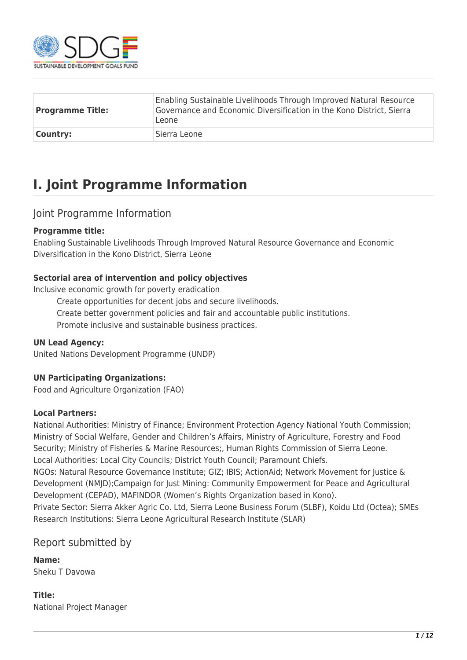

| <b>Programme Title:</b> | Enabling Sustainable Livelihoods Through Improved Natural Resource<br>Governance and Economic Diversification in the Kono District, Sierra<br>Leone |
|-------------------------|-----------------------------------------------------------------------------------------------------------------------------------------------------|
| <b>Country:</b>         | Sierra Leone                                                                                                                                        |

## **I. Joint Programme Information**

#### Joint Programme Information

#### **Programme title:**

Enabling Sustainable Livelihoods Through Improved Natural Resource Governance and Economic Diversification in the Kono District, Sierra Leone

#### **Sectorial area of intervention and policy objectives**

Inclusive economic growth for poverty eradication

Create opportunities for decent jobs and secure livelihoods.

Create better government policies and fair and accountable public institutions.

Promote inclusive and sustainable business practices.

#### **UN Lead Agency:**

United Nations Development Programme (UNDP)

#### **UN Participating Organizations:**

Food and Agriculture Organization (FAO)

#### **Local Partners:**

National Authorities: Ministry of Finance; Environment Protection Agency National Youth Commission; Ministry of Social Welfare, Gender and Children's Affairs, Ministry of Agriculture, Forestry and Food Security; Ministry of Fisheries & Marine Resources;, Human Rights Commission of Sierra Leone. Local Authorities: Local City Councils; District Youth Council; Paramount Chiefs.

NGOs: Natural Resource Governance Institute; GIZ; IBIS; ActionAid; Network Movement for Justice & Development (NMJD);Campaign for Just Mining: Community Empowerment for Peace and Agricultural Development (CEPAD), MAFINDOR (Women's Rights Organization based in Kono).

Private Sector: Sierra Akker Agric Co. Ltd, Sierra Leone Business Forum (SLBF), Koidu Ltd (Octea); SMEs Research Institutions: Sierra Leone Agricultural Research Institute (SLAR)

#### Report submitted by

**Name:**  Sheku T Davowa

**Title:**  National Project Manager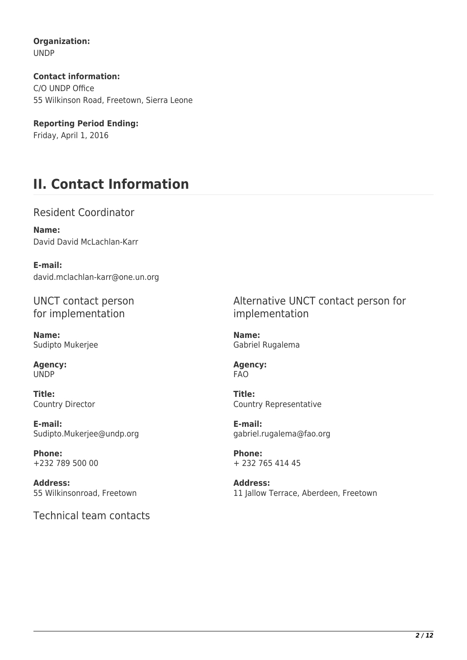**Organization:**  UNDP

**Contact information:**  C/O UNDP Office 55 Wilkinson Road, Freetown, Sierra Leone

**Reporting Period Ending:**  Friday, April 1, 2016

# **II. Contact Information**

Resident Coordinator

**Name:**  David David McLachlan-Karr

**E-mail:**  david.mclachlan-karr@one.un.org

UNCT contact person for implementation

**Name:**  Sudipto Mukerjee

**Agency:**  UNDP

**Title:**  Country Director

**E-mail:**  Sudipto.Mukerjee@undp.org

**Phone:**  +232 789 500 00

**Address:**  55 Wilkinsonroad, Freetown

Technical team contacts

Alternative UNCT contact person for implementation

**Name:**  Gabriel Rugalema

**Agency:**  FAO

**Title:**  Country Representative

**E-mail:**  gabriel.rugalema@fao.org

**Phone:**  + 232 765 414 45

**Address:**  11 Jallow Terrace, Aberdeen, Freetown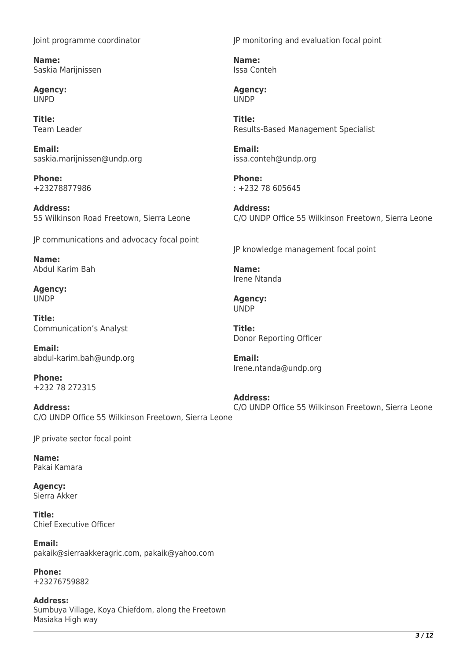Joint programme coordinator

**Name:**  Saskia Marijnissen

**Agency:**  UNPD

**Title:**  Team Leader

**Email:**  saskia.marijnissen@undp.org

**Phone:**  +23278877986

**Address:**  55 Wilkinson Road Freetown, Sierra Leone

JP communications and advocacy focal point

**Name:**  Abdul Karim Bah

**Agency: UNDP** 

**Title:**  Communication's Analyst

**Email:**  abdul-karim.bah@undp.org

**Phone:**  +232 78 272315

**Address:**  C/O UNDP Office 55 Wilkinson Freetown, Sierra Leone

JP private sector focal point

**Name:**  Pakai Kamara

**Agency:**  Sierra Akker

**Title:**  Chief Executive Officer

**Email:**  pakaik@sierraakkeragric.com, pakaik@yahoo.com

**Phone:**  +23276759882

**Address:**  Sumbuya Village, Koya Chiefdom, along the Freetown Masiaka High way

JP monitoring and evaluation focal point

**Name:**  Issa Conteh

**Agency:**  UNDP

**Title:**  Results-Based Management Specialist

**Email:**  issa.conteh@undp.org

**Phone:**  : +232 78 605645

**Address:**  C/O UNDP Office 55 Wilkinson Freetown, Sierra Leone

JP knowledge management focal point

**Name:**  Irene Ntanda

**Agency:**  UNDP

**Title:**  Donor Reporting Officer

**Email:**  Irene.ntanda@undp.org

**Address:**  C/O UNDP Office 55 Wilkinson Freetown, Sierra Leone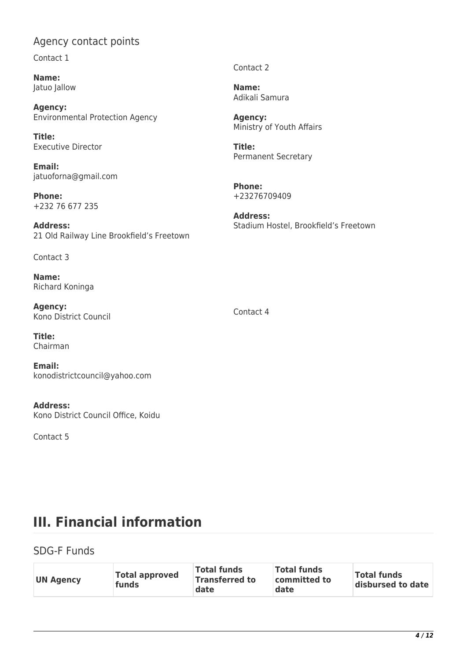### Agency contact points

Contact 1

**Name:**  Jatuo Jallow

**Agency:**  Environmental Protection Agency

**Title:**  Executive Director

**Email:**  jatuoforna@gmail.com

**Phone:**  +232 76 677 235

**Address:**  21 Old Railway Line Brookfield's Freetown

Contact 3

**Name:**  Richard Koninga

**Agency:**  Kono District Council

**Title:**  Chairman

**Email:**  konodistrictcouncil@yahoo.com

**Address:**  Kono District Council Office, Koidu

Contact 5

Contact 2

**Name:**  Adikali Samura

**Agency:**  Ministry of Youth Affairs

**Title:**  Permanent Secretary

**Phone:**  +23276709409

**Address:**  Stadium Hostel, Brookfield's Freetown

Contact 4

# **III. Financial information**

### SDG-F Funds

| Total approved<br><b>UN Agency</b><br>funds | <b>Total funds</b><br><b>Transferred to</b><br>date | <b>Total funds</b><br>committed to<br>date | <b>Total funds</b><br>disbursed to date |
|---------------------------------------------|-----------------------------------------------------|--------------------------------------------|-----------------------------------------|
|---------------------------------------------|-----------------------------------------------------|--------------------------------------------|-----------------------------------------|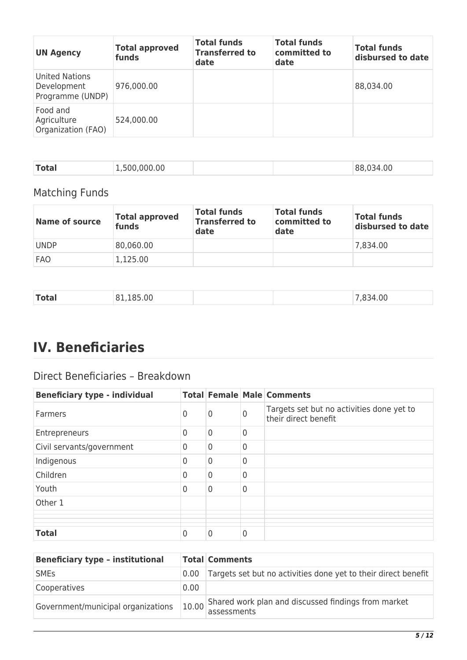| <b>UN Agency</b>                                  | <b>Total approved</b><br>funds | <b>Total funds</b><br><b>Transferred to</b><br>date | <b>Total funds</b><br>committed to<br>date | Total funds<br>disbursed to date |
|---------------------------------------------------|--------------------------------|-----------------------------------------------------|--------------------------------------------|----------------------------------|
| United Nations<br>Development<br>Programme (UNDP) | 976,000.00                     |                                                     |                                            | 88,034.00                        |
| Food and<br>Agriculture<br>Organization (FAO)     | 524,000.00                     |                                                     |                                            |                                  |

| <b>Total</b> | .,500,000.00 |  | 88,034.00 |
|--------------|--------------|--|-----------|

## Matching Funds

| Name of source | <b>Total approved</b><br>funds | <b>Total funds</b><br><b>Transferred to</b><br>date | <b>Total funds</b><br>committed to<br>date | <b>Total funds</b><br>disbursed to date |
|----------------|--------------------------------|-----------------------------------------------------|--------------------------------------------|-----------------------------------------|
| <b>UNDP</b>    | 80,060.00                      |                                                     |                                            | 7,834.00                                |
| <b>FAO</b>     | 1,125.00                       |                                                     |                                            |                                         |

| <b>Total</b><br>00<br>$\Omega$<br>$- - - - - -$<br>$ -$ |  |  |  |  |  |
|---------------------------------------------------------|--|--|--|--|--|
|---------------------------------------------------------|--|--|--|--|--|

# **IV. Beneficiaries**

## Direct Beneficiaries – Breakdown

| <b>Beneficiary type - individual</b> |                |                |   | <b>Total Female Male Comments</b>                                 |
|--------------------------------------|----------------|----------------|---|-------------------------------------------------------------------|
| <b>Farmers</b>                       | 0              | 0              | 0 | Targets set but no activities done yet to<br>their direct benefit |
| Entrepreneurs                        | $\overline{0}$ | $\overline{0}$ | 0 |                                                                   |
| Civil servants/government            | $\mathbf 0$    | $\overline{0}$ | 0 |                                                                   |
| Indigenous                           | $\overline{0}$ | $\overline{0}$ | 0 |                                                                   |
| Children                             | $\overline{0}$ | $\overline{0}$ | 0 |                                                                   |
| Youth                                | $\overline{0}$ | $\overline{0}$ | 0 |                                                                   |
| Other 1                              |                |                |   |                                                                   |
|                                      |                |                |   |                                                                   |
| <b>Total</b>                         | 0              | 0              | 0 |                                                                   |

| <b>Beneficiary type - institutional</b> |                   | <b>Total Comments</b>                                              |
|-----------------------------------------|-------------------|--------------------------------------------------------------------|
| <b>SMES</b>                             | 0.00 <sub>1</sub> | Targets set but no activities done yet to their direct benefit     |
| Cooperatives                            | 0.00              |                                                                    |
| Government/municipal organizations      | 10.00             | Shared work plan and discussed findings from market<br>assessments |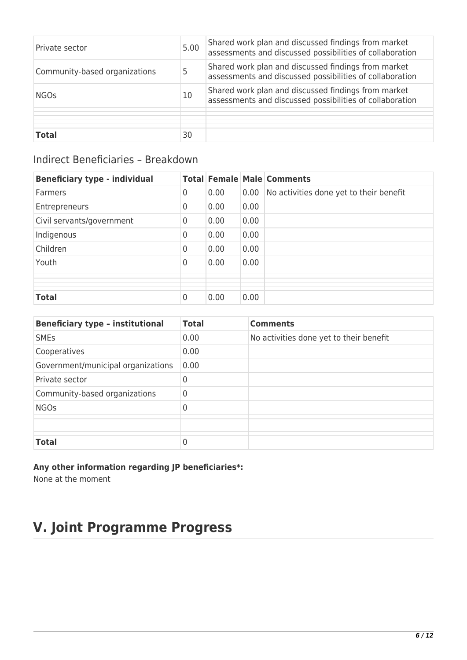| Private sector                | 5.00 | Shared work plan and discussed findings from market<br>assessments and discussed possibilities of collaboration |
|-------------------------------|------|-----------------------------------------------------------------------------------------------------------------|
| Community-based organizations | 5    | Shared work plan and discussed findings from market<br>assessments and discussed possibilities of collaboration |
| <b>NGOs</b>                   | 10   | Shared work plan and discussed findings from market<br>assessments and discussed possibilities of collaboration |
|                               |      |                                                                                                                 |
| <b>Total</b>                  | 30   |                                                                                                                 |

## Indirect Beneficiaries – Breakdown

| <b>Beneficiary type - individual</b> |                |      |      | <b>Total Female Male Comments</b>       |
|--------------------------------------|----------------|------|------|-----------------------------------------|
| Farmers                              | 0              | 0.00 | 0.00 | No activities done yet to their benefit |
| Entrepreneurs                        | 0              | 0.00 | 0.00 |                                         |
| Civil servants/government            | $\mathbf 0$    | 0.00 | 0.00 |                                         |
| Indigenous                           | 0              | 0.00 | 0.00 |                                         |
| Children                             | $\overline{0}$ | 0.00 | 0.00 |                                         |
| Youth                                | 0              | 0.00 | 0.00 |                                         |
|                                      |                |      |      |                                         |
|                                      |                |      |      |                                         |
|                                      |                |      |      |                                         |
| <b>Total</b>                         | 0              | 0.00 | 0.00 |                                         |

| <b>Beneficiary type - institutional</b> | <b>Total</b> | <b>Comments</b>                         |
|-----------------------------------------|--------------|-----------------------------------------|
| <b>SMEs</b>                             | 0.00         | No activities done yet to their benefit |
| Cooperatives                            | 0.00         |                                         |
| Government/municipal organizations      | 0.00         |                                         |
| Private sector                          | 0            |                                         |
| Community-based organizations           | 0            |                                         |
| <b>NGOs</b>                             | 0            |                                         |
|                                         |              |                                         |
|                                         |              |                                         |
| <b>Total</b>                            | 0            |                                         |

#### **Any other information regarding JP beneficiaries\*:**

None at the moment

# **V. Joint Programme Progress**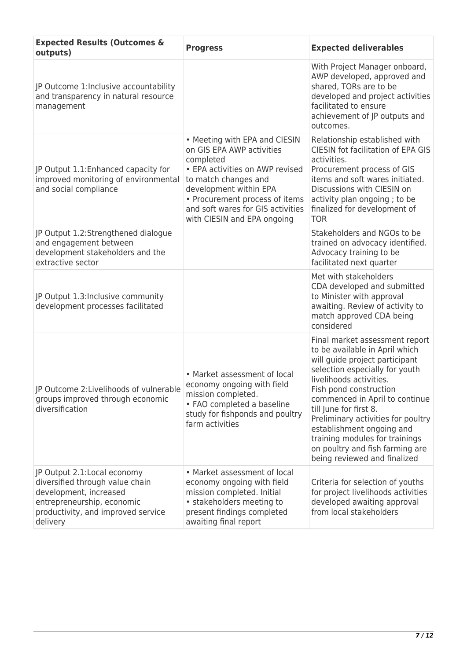| <b>Expected Results (Outcomes &amp;</b><br>outputs)                                                                                                                       | <b>Progress</b>                                                                                                                                                                                                                                                    | <b>Expected deliverables</b>                                                                                                                                                                                                                                                                                                                                                                                                  |
|---------------------------------------------------------------------------------------------------------------------------------------------------------------------------|--------------------------------------------------------------------------------------------------------------------------------------------------------------------------------------------------------------------------------------------------------------------|-------------------------------------------------------------------------------------------------------------------------------------------------------------------------------------------------------------------------------------------------------------------------------------------------------------------------------------------------------------------------------------------------------------------------------|
| JP Outcome 1: Inclusive accountability<br>and transparency in natural resource<br>management                                                                              |                                                                                                                                                                                                                                                                    | With Project Manager onboard,<br>AWP developed, approved and<br>shared, TORs are to be<br>developed and project activities<br>facilitated to ensure<br>achievement of JP outputs and<br>outcomes.                                                                                                                                                                                                                             |
| JP Output 1.1: Enhanced capacity for<br>improved monitoring of environmental<br>and social compliance                                                                     | • Meeting with EPA and CIESIN<br>on GIS EPA AWP activities<br>completed<br>• EPA activities on AWP revised<br>to match changes and<br>development within EPA<br>• Procurement process of items<br>and soft wares for GIS activities<br>with CIESIN and EPA ongoing | Relationship established with<br><b>CIESIN fot facilitation of EPA GIS</b><br>activities.<br>Procurement process of GIS<br>items and soft wares initiated.<br>Discussions with CIESIN on<br>activity plan ongoing; to be<br>finalized for development of<br><b>TOR</b>                                                                                                                                                        |
| JP Output 1.2:Strengthened dialogue<br>and engagement between<br>development stakeholders and the<br>extractive sector                                                    |                                                                                                                                                                                                                                                                    | Stakeholders and NGOs to be<br>trained on advocacy identified.<br>Advocacy training to be<br>facilitated next quarter                                                                                                                                                                                                                                                                                                         |
| JP Output 1.3:Inclusive community<br>development processes facilitated                                                                                                    |                                                                                                                                                                                                                                                                    | Met with stakeholders<br>CDA developed and submitted<br>to Minister with approval<br>awaiting. Review of activity to<br>match approved CDA being<br>considered                                                                                                                                                                                                                                                                |
| JP Outcome 2: Livelihoods of vulnerable<br>groups improved through economic<br>diversification                                                                            | • Market assessment of local<br>economy ongoing with field<br>mission completed.<br>• FAO completed a baseline<br>study for fishponds and poultry<br>farm activities                                                                                               | Final market assessment report<br>to be available in April which<br>will guide project participant<br>selection especially for youth<br>livelihoods activities.<br>Fish pond construction<br>commenced in April to continue<br>till June for first 8.<br>Preliminary activities for poultry<br>establishment ongoing and<br>training modules for trainings<br>on poultry and fish farming are<br>being reviewed and finalized |
| JP Output 2.1: Local economy<br>diversified through value chain<br>development, increased<br>entrepreneurship, economic<br>productivity, and improved service<br>delivery | • Market assessment of local<br>economy ongoing with field<br>mission completed. Initial<br>• stakeholders meeting to<br>present findings completed<br>awaiting final report                                                                                       | Criteria for selection of youths<br>for project livelihoods activities<br>developed awaiting approval<br>from local stakeholders                                                                                                                                                                                                                                                                                              |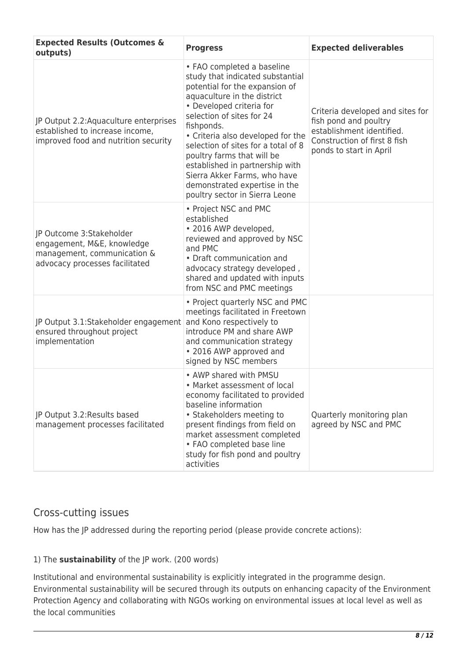| <b>Expected Results (Outcomes &amp;</b><br>outputs)                                                                     | <b>Progress</b>                                                                                                                                                                                                                                                                                                                                                                                                                                        | <b>Expected deliverables</b>                                                                                                                      |
|-------------------------------------------------------------------------------------------------------------------------|--------------------------------------------------------------------------------------------------------------------------------------------------------------------------------------------------------------------------------------------------------------------------------------------------------------------------------------------------------------------------------------------------------------------------------------------------------|---------------------------------------------------------------------------------------------------------------------------------------------------|
| JP Output 2.2: Aquaculture enterprises<br>established to increase income,<br>improved food and nutrition security       | • FAO completed a baseline<br>study that indicated substantial<br>potential for the expansion of<br>aquaculture in the district<br>• Developed criteria for<br>selection of sites for 24<br>fishponds.<br>• Criteria also developed for the<br>selection of sites for a total of 8<br>poultry farms that will be<br>established in partnership with<br>Sierra Akker Farms, who have<br>demonstrated expertise in the<br>poultry sector in Sierra Leone | Criteria developed and sites for<br>fish pond and poultry<br>establishment identified.<br>Construction of first 8 fish<br>ponds to start in April |
| JP Outcome 3:Stakeholder<br>engagement, M&E, knowledge<br>management, communication &<br>advocacy processes facilitated | • Project NSC and PMC<br>established<br>• 2016 AWP developed,<br>reviewed and approved by NSC<br>and PMC<br>• Draft communication and<br>advocacy strategy developed,<br>shared and updated with inputs<br>from NSC and PMC meetings                                                                                                                                                                                                                   |                                                                                                                                                   |
| JP Output 3.1:Stakeholder engagement<br>ensured throughout project<br>implementation                                    | • Project quarterly NSC and PMC<br>meetings facilitated in Freetown<br>and Kono respectively to<br>introduce PM and share AWP<br>and communication strategy<br>• 2016 AWP approved and<br>signed by NSC members                                                                                                                                                                                                                                        |                                                                                                                                                   |
| JP Output 3.2: Results based<br>management processes facilitated                                                        | • AWP shared with PMSU<br>• Market assessment of local<br>economy facilitated to provided<br>baseline information<br>• Stakeholders meeting to<br>present findings from field on<br>market assessment completed<br>• FAO completed base line<br>study for fish pond and poultry<br>activities                                                                                                                                                          | Quarterly monitoring plan<br>agreed by NSC and PMC                                                                                                |

### Cross-cutting issues

How has the JP addressed during the reporting period (please provide concrete actions):

#### 1) The **sustainability** of the JP work. (200 words)

Institutional and environmental sustainability is explicitly integrated in the programme design. Environmental sustainability will be secured through its outputs on enhancing capacity of the Environment Protection Agency and collaborating with NGOs working on environmental issues at local level as well as the local communities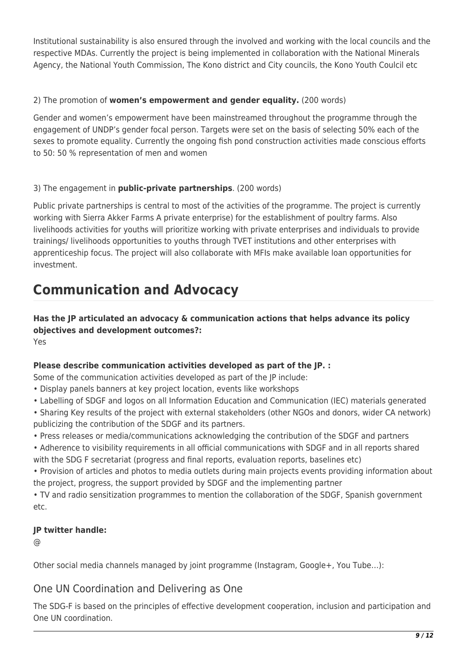Institutional sustainability is also ensured through the involved and working with the local councils and the respective MDAs. Currently the project is being implemented in collaboration with the National Minerals Agency, the National Youth Commission, The Kono district and City councils, the Kono Youth Coulcil etc

#### 2) The promotion of **women's empowerment and gender equality.** (200 words)

Gender and women's empowerment have been mainstreamed throughout the programme through the engagement of UNDP's gender focal person. Targets were set on the basis of selecting 50% each of the sexes to promote equality. Currently the ongoing fish pond construction activities made conscious efforts to 50: 50 % representation of men and women

#### 3) The engagement in **public-private partnerships**. (200 words)

Public private partnerships is central to most of the activities of the programme. The project is currently working with Sierra Akker Farms A private enterprise) for the establishment of poultry farms. Also livelihoods activities for youths will prioritize working with private enterprises and individuals to provide trainings/ livelihoods opportunities to youths through TVET institutions and other enterprises with apprenticeship focus. The project will also collaborate with MFIs make available loan opportunities for investment.

# **Communication and Advocacy**

**Has the JP articulated an advocacy & communication actions that helps advance its policy objectives and development outcomes?:**  Yes

#### **Please describe communication activities developed as part of the JP. :**

Some of the communication activities developed as part of the JP include:

- Display panels banners at key project location, events like workshops
- Labelling of SDGF and logos on all Information Education and Communication (IEC) materials generated
- Sharing Key results of the project with external stakeholders (other NGOs and donors, wider CA network) publicizing the contribution of the SDGF and its partners.
- Press releases or media/communications acknowledging the contribution of the SDGF and partners
- Adherence to visibility requirements in all official communications with SDGF and in all reports shared with the SDG F secretariat (progress and final reports, evaluation reports, baselines etc)
- Provision of articles and photos to media outlets during main projects events providing information about the project, progress, the support provided by SDGF and the implementing partner

• TV and radio sensitization programmes to mention the collaboration of the SDGF, Spanish government etc.

#### **JP twitter handle:**

@

Other social media channels managed by joint programme (Instagram, Google+, You Tube…):

### One UN Coordination and Delivering as One

The SDG-F is based on the principles of effective development cooperation, inclusion and participation and One UN coordination.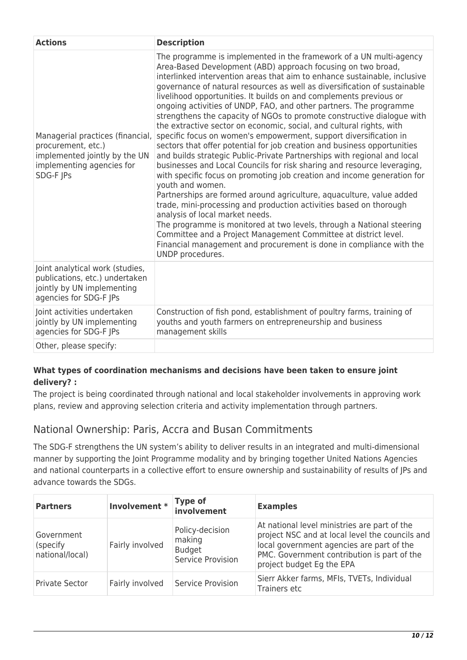| <b>Actions</b>                                                                                                                    | <b>Description</b>                                                                                                                                                                                                                                                                                                                                                                                                                                                                                                                                                                                                                                                                                                                                                                                                                                                                                                                                                                                                                                                                                                                                                                                                                                                                                                                                                                                                        |
|-----------------------------------------------------------------------------------------------------------------------------------|---------------------------------------------------------------------------------------------------------------------------------------------------------------------------------------------------------------------------------------------------------------------------------------------------------------------------------------------------------------------------------------------------------------------------------------------------------------------------------------------------------------------------------------------------------------------------------------------------------------------------------------------------------------------------------------------------------------------------------------------------------------------------------------------------------------------------------------------------------------------------------------------------------------------------------------------------------------------------------------------------------------------------------------------------------------------------------------------------------------------------------------------------------------------------------------------------------------------------------------------------------------------------------------------------------------------------------------------------------------------------------------------------------------------------|
| Managerial practices (financial,<br>procurement, etc.)<br>implemented jointly by the UN<br>implementing agencies for<br>SDG-F JPs | The programme is implemented in the framework of a UN multi-agency<br>Area-Based Development (ABD) approach focusing on two broad,<br>interlinked intervention areas that aim to enhance sustainable, inclusive<br>governance of natural resources as well as diversification of sustainable<br>livelihood opportunities. It builds on and complements previous or<br>ongoing activities of UNDP, FAO, and other partners. The programme<br>strengthens the capacity of NGOs to promote constructive dialogue with<br>the extractive sector on economic, social, and cultural rights, with<br>specific focus on women's empowerment, support diversification in<br>sectors that offer potential for job creation and business opportunities<br>and builds strategic Public-Private Partnerships with regional and local<br>businesses and Local Councils for risk sharing and resource leveraging,<br>with specific focus on promoting job creation and income generation for<br>youth and women.<br>Partnerships are formed around agriculture, aquaculture, value added<br>trade, mini-processing and production activities based on thorough<br>analysis of local market needs.<br>The programme is monitored at two levels, through a National steering<br>Committee and a Project Management Committee at district level.<br>Financial management and procurement is done in compliance with the<br>UNDP procedures. |
| Joint analytical work (studies,<br>publications, etc.) undertaken<br>jointly by UN implementing<br>agencies for SDG-F JPs         |                                                                                                                                                                                                                                                                                                                                                                                                                                                                                                                                                                                                                                                                                                                                                                                                                                                                                                                                                                                                                                                                                                                                                                                                                                                                                                                                                                                                                           |
| Joint activities undertaken<br>jointly by UN implementing<br>agencies for SDG-F JPs                                               | Construction of fish pond, establishment of poultry farms, training of<br>youths and youth farmers on entrepreneurship and business<br>management skills                                                                                                                                                                                                                                                                                                                                                                                                                                                                                                                                                                                                                                                                                                                                                                                                                                                                                                                                                                                                                                                                                                                                                                                                                                                                  |
| Other, please specify:                                                                                                            |                                                                                                                                                                                                                                                                                                                                                                                                                                                                                                                                                                                                                                                                                                                                                                                                                                                                                                                                                                                                                                                                                                                                                                                                                                                                                                                                                                                                                           |

#### **What types of coordination mechanisms and decisions have been taken to ensure joint delivery? :**

The project is being coordinated through national and local stakeholder involvements in approving work plans, review and approving selection criteria and activity implementation through partners.

## National Ownership: Paris, Accra and Busan Commitments

The SDG-F strengthens the UN system's ability to deliver results in an integrated and multi-dimensional manner by supporting the Joint Programme modality and by bringing together United Nations Agencies and national counterparts in a collective effort to ensure ownership and sustainability of results of JPs and advance towards the SDGs.

| <b>Partners</b>                            | Involvement *   | <b>Type of</b><br>involvement                                   | <b>Examples</b>                                                                                                                                                                                                          |
|--------------------------------------------|-----------------|-----------------------------------------------------------------|--------------------------------------------------------------------------------------------------------------------------------------------------------------------------------------------------------------------------|
| Government<br>(specify)<br>national/local) | Fairly involved | Policy-decision<br>making<br><b>Budget</b><br>Service Provision | At national level ministries are part of the<br>project NSC and at local level the councils and<br>local government agencies are part of the<br>PMC. Government contribution is part of the<br>project budget Eg the EPA |
| <b>Private Sector</b>                      | Fairly involved | Service Provision                                               | Sierr Akker farms, MFIs, TVETs, Individual<br>Trainers etc                                                                                                                                                               |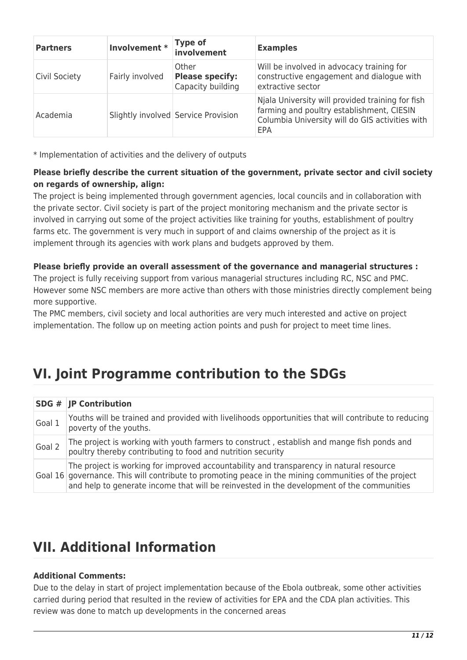| <b>Partners</b>      | Involvement *   | <b>Type of</b><br>involvement                        | <b>Examples</b>                                                                                                                                         |
|----------------------|-----------------|------------------------------------------------------|---------------------------------------------------------------------------------------------------------------------------------------------------------|
| <b>Civil Society</b> | Fairly involved | Other<br><b>Please specify:</b><br>Capacity building | Will be involved in advocacy training for<br>constructive engagement and dialogue with<br>extractive sector                                             |
| Academia             |                 | Slightly involved Service Provision                  | Njala University will provided training for fish<br>farming and poultry establishment, CIESIN<br>Columbia University will do GIS activities with<br>EPA |

\* Implementation of activities and the delivery of outputs

#### **Please briefly describe the current situation of the government, private sector and civil society on regards of ownership, align:**

The project is being implemented through government agencies, local councils and in collaboration with the private sector. Civil society is part of the project monitoring mechanism and the private sector is involved in carrying out some of the project activities like training for youths, establishment of poultry farms etc. The government is very much in support of and claims ownership of the project as it is implement through its agencies with work plans and budgets approved by them.

#### **Please briefly provide an overall assessment of the governance and managerial structures :**

The project is fully receiving support from various managerial structures including RC, NSC and PMC. However some NSC members are more active than others with those ministries directly complement being more supportive.

The PMC members, civil society and local authorities are very much interested and active on project implementation. The follow up on meeting action points and push for project to meet time lines.

## **VI. Joint Programme contribution to the SDGs**

|        | <b>SDG # JP Contribution</b>                                                                                                                                                                                                                                                                 |
|--------|----------------------------------------------------------------------------------------------------------------------------------------------------------------------------------------------------------------------------------------------------------------------------------------------|
| Goal 1 | Youths will be trained and provided with livelihoods opportunities that will contribute to reducing<br>poverty of the youths.                                                                                                                                                                |
| Goal 2 | The project is working with youth farmers to construct, establish and mange fish ponds and<br>poultry thereby contributing to food and nutrition security                                                                                                                                    |
|        | The project is working for improved accountability and transparency in natural resource<br>Goal 16 governance. This will contribute to promoting peace in the mining communities of the project<br>and help to generate income that will be reinvested in the development of the communities |

## **VII. Additional Information**

#### **Additional Comments:**

Due to the delay in start of project implementation because of the Ebola outbreak, some other activities carried during period that resulted in the review of activities for EPA and the CDA plan activities. This review was done to match up developments in the concerned areas